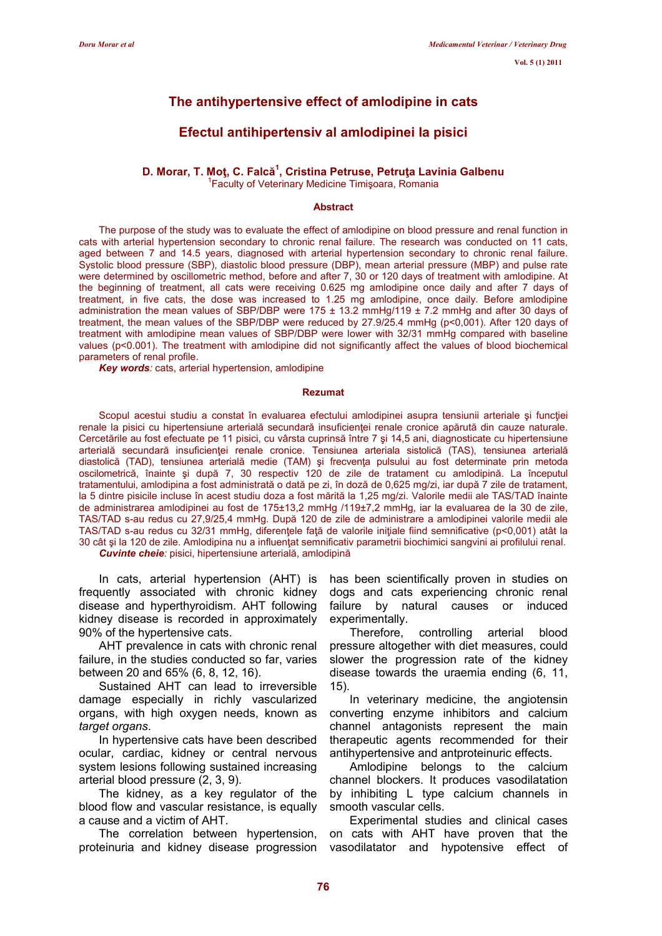# The antihypertensive effect of amlodipine in cats

# Efectul antihipertensiv al amlodipinei la pisici

## D. Morar, T. Moţ, C. Falcă<sup>1</sup>, Cristina Petruse, Petruţa Lavinia Galbenu

<sup>1</sup> Faculty of Veterinary Medicine Timişoara, Romania

#### **Abstract**

The purpose of the study was to evaluate the effect of amlodipine on blood pressure and renal function in cats with arterial hypertension secondary to chronic renal failure. The research was conducted on 11 cats, aged between 7 and 14.5 years, diagnosed with arterial hypertension secondary to chronic renal failure. Systolic blood pressure (SBP), diastolic blood pressure (DBP), mean arterial pressure (MBP) and pulse rate were determined by oscillometric method, before and after 7, 30 or 120 days of treatment with amlodipine. At the beginning of treatment, all cats were receiving 0.625 mg amlodipine once daily and after 7 days of treatment, in five cats, the dose was increased to 1.25 mg amlodipine, once daily. Before amlodipine administration the mean values of SBP/DBP were  $175 \pm 13.2$  mmHg/119  $\pm$  7.2 mmHg and after 30 days of treatment, the mean values of the SBP/DBP were reduced by 27.9/25.4 mmHg (p<0,001). After 120 days of treatment with amlodipine mean values of SBP/DBP were lower with 32/31 mmHg compared with baseline values (p<0.001). The treatment with amlodipine did not significantly affect the values of blood biochemical parameters of renal profile.

Key words: cats, arterial hypertension, amlodipine

#### Rezumat

Scopul acestui studiu a constat în evaluarea efectului amlodipinei asupra tensiunii arteriale și funcției renale la pisici cu hipertensiune arterială secundară insuficienţei renale cronice apărută din cauze naturale. Cercetările au fost efectuate pe 11 pisici, cu vârsta cuprinsă între 7 şi 14,5 ani, diagnosticate cu hipertensiune arterială secundară insuficienţei renale cronice. Tensiunea arteriala sistolică (TAS), tensiunea arterială diastolică (TAD), tensiunea arterială medie (TAM) și frecvența pulsului au fost determinate prin metoda oscilometrică, înainte şi după 7, 30 respectiv 120 de zile de tratament cu amlodipină. La începutul tratamentului, amlodipina a fost administrată o dată pe zi, în doză de 0,625 mg/zi, iar după 7 zile de tratament, la 5 dintre pisicile incluse în acest studiu doza a fost mărită la 1,25 mg/zi. Valorile medii ale TAS/TAD înainte de administrarea amlodipinei au fost de 175±13,2 mmHg /119±7,2 mmHg, iar la evaluarea de la 30 de zile, TAS/TAD s-au redus cu 27,9/25,4 mmHg. După 120 de zile de administrare a amlodipinei valorile medii ale TAS/TAD s-au redus cu 32/31 mmHg, diferentele fată de valorile inițiale fiind semnificative (p<0,001) atât la 30 cât și la 120 de zile. Amlodipina nu a influențat semnificativ parametrii biochimici sangvini ai profilului renal. Cuvinte cheie: pisici, hipertensiune arterială, amlodipină

In cats, arterial hypertension (AHT) is frequently associated with chronic kidney

disease and hyperthyroidism. AHT following kidney disease is recorded in approximately 90% of the hypertensive cats.

AHT prevalence in cats with chronic renal failure, in the studies conducted so far, varies between 20 and 65% (6, 8, 12, 16).

Sustained AHT can lead to irreversible damage especially in richly vascularized organs, with high oxygen needs, known as target organs.

In hypertensive cats have been described ocular, cardiac, kidney or central nervous system lesions following sustained increasing arterial blood pressure (2, 3, 9).

The kidney, as a key regulator of the blood flow and vascular resistance, is equally a cause and a victim of AHT.

The correlation between hypertension, proteinuria and kidney disease progression has been scientifically proven in studies on dogs and cats experiencing chronic renal failure by natural causes or induced experimentally.

Therefore, controlling arterial blood pressure altogether with diet measures, could slower the progression rate of the kidney disease towards the uraemia ending (6, 11, 15).

In veterinary medicine, the angiotensin converting enzyme inhibitors and calcium channel antagonists represent the main therapeutic agents recommended for their antihypertensive and antproteinuric effects.

Amlodipine belongs to the calcium channel blockers. It produces vasodilatation by inhibiting L type calcium channels in smooth vascular cells.

Experimental studies and clinical cases on cats with AHT have proven that the vasodilatator and hypotensive effect of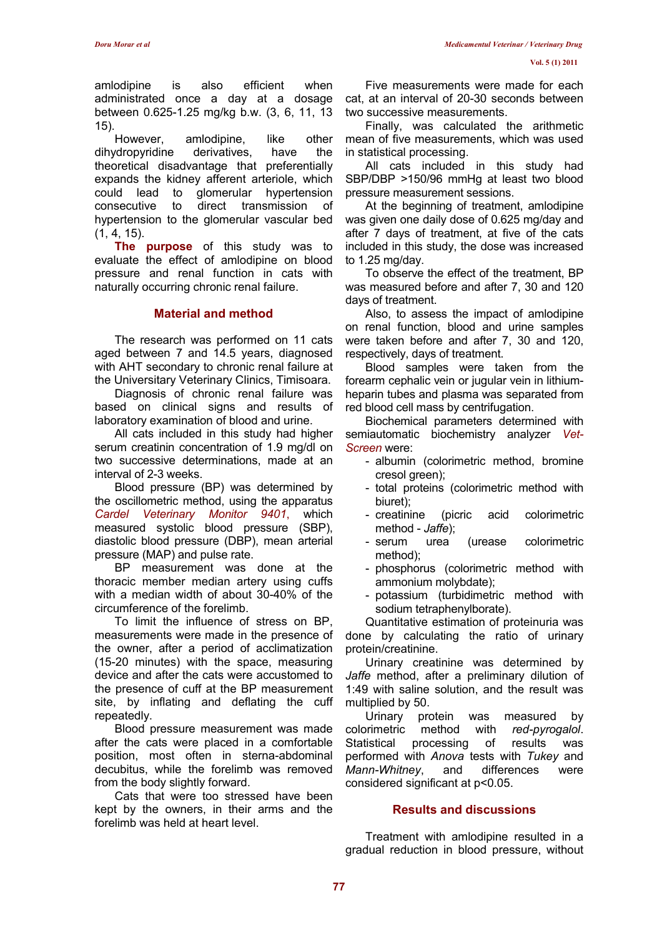amlodipine is also efficient when administrated once a day at a dosage between 0.625-1.25 mg/kg b.w. (3, 6, 11, 13 15).

However, amlodipine, like other dihydropyridine derivatives, have the theoretical disadvantage that preferentially expands the kidney afferent arteriole, which could lead to glomerular hypertension consecutive to direct transmission of hypertension to the glomerular vascular bed (1, 4, 15).

The purpose of this study was to evaluate the effect of amlodipine on blood pressure and renal function in cats with naturally occurring chronic renal failure.

#### Material and method

The research was performed on 11 cats aged between 7 and 14.5 years, diagnosed with AHT secondary to chronic renal failure at the Universitary Veterinary Clinics, Timisoara.

Diagnosis of chronic renal failure was based on clinical signs and results of laboratory examination of blood and urine.

All cats included in this study had higher serum creatinin concentration of 1.9 mg/dl on two successive determinations, made at an interval of 2-3 weeks.

Blood pressure (BP) was determined by the oscillometric method, using the apparatus Cardel Veterinary Monitor 9401, which measured systolic blood pressure (SBP), diastolic blood pressure (DBP), mean arterial pressure (MAP) and pulse rate.

BP measurement was done at the thoracic member median artery using cuffs with a median width of about 30-40% of the circumference of the forelimb.

To limit the influence of stress on BP, measurements were made in the presence of the owner, after a period of acclimatization (15-20 minutes) with the space, measuring device and after the cats were accustomed to the presence of cuff at the BP measurement site, by inflating and deflating the cuff repeatedly.

Blood pressure measurement was made after the cats were placed in a comfortable position, most often in sterna-abdominal decubitus, while the forelimb was removed from the body slightly forward.

Cats that were too stressed have been kept by the owners, in their arms and the forelimb was held at heart level.

Five measurements were made for each cat, at an interval of 20-30 seconds between two successive measurements.

Finally, was calculated the arithmetic mean of five measurements, which was used in statistical processing.

All cats included in this study had SBP/DBP >150/96 mmHg at least two blood pressure measurement sessions.

At the beginning of treatment, amlodipine was given one daily dose of 0.625 mg/day and after 7 days of treatment, at five of the cats included in this study, the dose was increased to 1.25 mg/day.

To observe the effect of the treatment, BP was measured before and after 7, 30 and 120 days of treatment.

Also, to assess the impact of amlodipine on renal function, blood and urine samples were taken before and after 7, 30 and 120, respectively, days of treatment.

Blood samples were taken from the forearm cephalic vein or jugular vein in lithiumheparin tubes and plasma was separated from red blood cell mass by centrifugation.

Biochemical parameters determined with semiautomatic biochemistry analyzer Vet-Screen were:

- albumin (colorimetric method, bromine cresol green);
- total proteins (colorimetric method with biuret);
- creatinine (picric acid colorimetric method - Jaffe);
- serum urea (urease colorimetric method);
- phosphorus (colorimetric method with ammonium molybdate);
- potassium (turbidimetric method with sodium tetraphenylborate).

Quantitative estimation of proteinuria was done by calculating the ratio of urinary protein/creatinine.

Urinary creatinine was determined by Jaffe method, after a preliminary dilution of 1:49 with saline solution, and the result was multiplied by 50.

Urinary protein was measured by colorimetric method with red-pyrogalol. Statistical processing of results was performed with Anova tests with Tukey and Mann-Whitney, and differences were considered significant at p<0.05.

### Results and discussions

Treatment with amlodipine resulted in a gradual reduction in blood pressure, without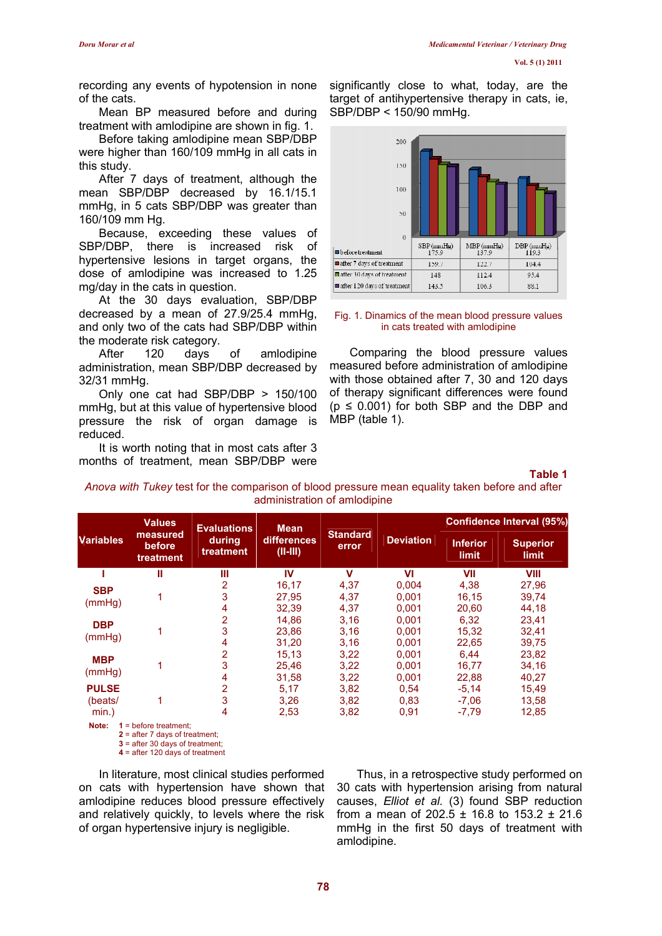recording any events of hypotension in none of the cats.

Mean BP measured before and during treatment with amlodipine are shown in fig. 1.

Before taking amlodipine mean SBP/DBP were higher than 160/109 mmHg in all cats in this study.

After 7 days of treatment, although the mean SBP/DBP decreased by 16.1/15.1 mmHg, in 5 cats SBP/DBP was greater than 160/109 mm Hg.

Because, exceeding these values of SBP/DBP, there is increased risk of hypertensive lesions in target organs, the dose of amlodipine was increased to 1.25 mg/day in the cats in question.

At the 30 days evaluation, SBP/DBP decreased by a mean of 27.9/25.4 mmHg, and only two of the cats had SBP/DBP within the moderate risk category.

After 120 days of amlodipine administration, mean SBP/DBP decreased by 32/31 mmHg.

Only one cat had SBP/DBP > 150/100 mmHg, but at this value of hypertensive blood pressure the risk of organ damage is reduced.

It is worth noting that in most cats after 3 months of treatment, mean SBP/DBP were significantly close to what, today, are the target of antihypertensive therapy in cats, ie, SBP/DBP < 150/90 mmHg.



#### Fig. 1. Dinamics of the mean blood pressure values in cats treated with amlodipine

Comparing the blood pressure values measured before administration of amlodipine with those obtained after 7, 30 and 120 days of therapy significant differences were found  $(p \le 0.001)$  for both SBP and the DBP and MBP (table 1).

#### Table 1

Anova with Tukey test for the comparison of blood pressure mean equality taken before and after administration of amlodipine

| <b>Variables</b>        | <b>Values</b><br>measured<br>before<br>treatment | <b>Evaluations</b><br>during<br>treatment | <b>Mean</b><br>differences<br>$(II-HI)$ | <b>Standard</b><br>error | <b>Deviation</b> | Confidence Interval (95%) |                                 |
|-------------------------|--------------------------------------------------|-------------------------------------------|-----------------------------------------|--------------------------|------------------|---------------------------|---------------------------------|
|                         |                                                  |                                           |                                         |                          |                  | <b>Inferior</b><br>limit  | <b>Superior</b><br><b>limit</b> |
|                         | Ш                                                | Ш                                         | IV                                      | $\mathbf v$              | VI               | VII                       | <b>VIII</b>                     |
| <b>SBP</b><br>(mmHg)    |                                                  | 2                                         | 16,17                                   | 4,37                     | 0,004            | 4,38                      | 27,96                           |
|                         |                                                  | 3                                         | 27.95                                   | 4,37                     | 0.001            | 16.15                     | 39,74                           |
|                         |                                                  | 4                                         | 32,39                                   | 4,37                     | 0,001            | 20,60                     | 44,18                           |
| <b>DBP</b><br>(mmHq)    |                                                  | 2                                         | 14.86                                   | 3,16                     | 0.001            | 6,32                      | 23,41                           |
|                         |                                                  | 3                                         | 23,86                                   | 3,16                     | 0.001            | 15,32                     | 32,41                           |
|                         |                                                  | 4                                         | 31,20                                   | 3,16                     | 0,001            | 22,65                     | 39,75                           |
| <b>MBP</b><br>(mmHq)    |                                                  | 2                                         | 15,13                                   | 3,22                     | 0.001            | 6.44                      | 23,82                           |
|                         |                                                  | 3                                         | 25,46                                   | 3,22                     | 0.001            | 16.77                     | 34,16                           |
|                         |                                                  | 4                                         | 31,58                                   | 3,22                     | 0,001            | 22,88                     | 40,27                           |
| <b>PULSE</b><br>(beats/ |                                                  | 2                                         | 5,17                                    | 3,82                     | 0.54             | $-5,14$                   | 15,49                           |
|                         |                                                  | 3                                         | 3,26                                    | 3,82                     | 0.83             | $-7,06$                   | 13,58                           |
| $min.$ )                |                                                  | 4                                         | 2,53                                    | 3,82                     | 0,91             | $-7,79$                   | 12,85                           |
| Note:                   | $1 = hafora treatment$                           |                                           |                                         |                          |                  |                           |                                 |

Note: 1 = before treatment; 2 = after 7 days of treatment;

3 = after 30 days of treatment;

4 = after 120 days of treatment

In literature, most clinical studies performed on cats with hypertension have shown that amlodipine reduces blood pressure effectively and relatively quickly, to levels where the risk of organ hypertensive injury is negligible.

Thus, in a retrospective study performed on 30 cats with hypertension arising from natural causes, Elliot et al. (3) found SBP reduction from a mean of 202.5  $\pm$  16.8 to 153.2  $\pm$  21.6 mmHg in the first 50 days of treatment with amlodipine.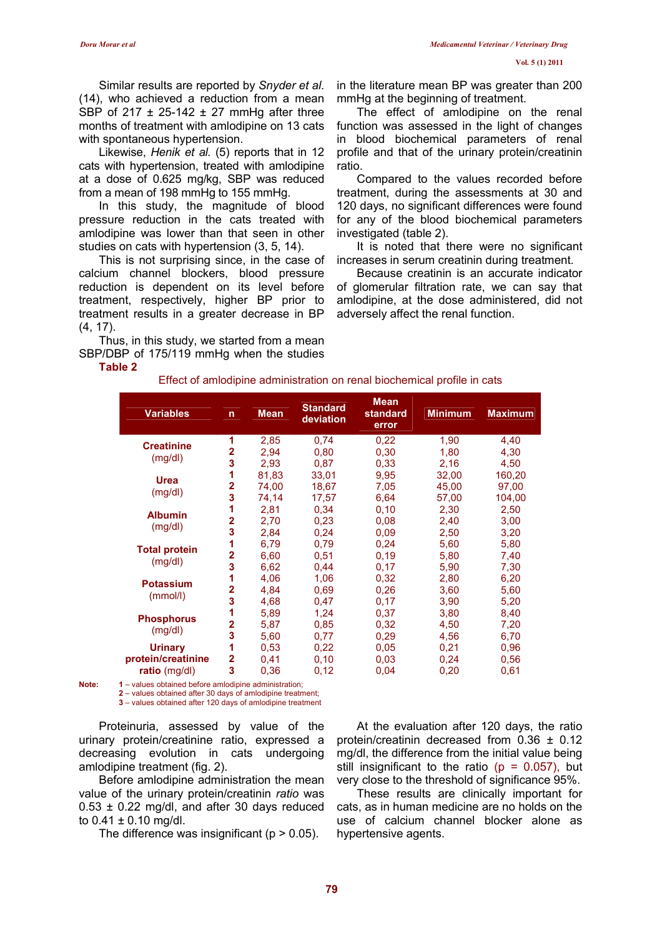Similar results are reported by Snyder et al. (14), who achieved a reduction from a mean SBP of 217  $\pm$  25-142  $\pm$  27 mmHg after three months of treatment with amlodipine on 13 cats with spontaneous hypertension.

Likewise, Henik et al. (5) reports that in 12 cats with hypertension, treated with amlodipine at a dose of 0.625 mg/kg, SBP was reduced from a mean of 198 mmHg to 155 mmHg.

In this study, the magnitude of blood pressure reduction in the cats treated with amlodipine was lower than that seen in other studies on cats with hypertension (3, 5, 14).

This is not surprising since, in the case of calcium channel blockers, blood pressure reduction is dependent on its level before treatment, respectively, higher BP prior to treatment results in a greater decrease in BP (4, 17).

Thus, in this study, we started from a mean SBP/DBP of 175/119 mmHg when the studies in the literature mean BP was greater than 200 mmHg at the beginning of treatment.

The effect of amlodipine on the renal function was assessed in the light of changes in blood biochemical parameters of renal profile and that of the urinary protein/creatinin ratio.

Compared to the values recorded before treatment, during the assessments at 30 and 120 days, no significant differences were found for any of the blood biochemical parameters investigated (table 2).

It is noted that there were no significant increases in serum creatinin during treatment.

Because creatinin is an accurate indicator of glomerular filtration rate, we can say that amlodipine, at the dose administered, did not adversely affect the renal function.

| Effect of amlodipine administration on renal biochemical profile in cats |  |
|--------------------------------------------------------------------------|--|
|--------------------------------------------------------------------------|--|

| <b>Variables</b>     | $\mathsf{n}$                                          | <b>Mean</b> | <b>Standard</b><br>deviation | <b>Mean</b><br>standard<br>error | <b>Minimum</b> | <b>Maximum</b> |  |
|----------------------|-------------------------------------------------------|-------------|------------------------------|----------------------------------|----------------|----------------|--|
| <b>Creatinine</b>    | 1                                                     | 2,85        | 0,74                         | 0,22                             | 1,90           | 4,40           |  |
| (mg/dl)              | $\overline{\mathbf{2}}$                               | 2,94        | 0,80                         | 0,30                             | 1,80           | 4,30           |  |
|                      | 3                                                     | 2,93        | 0,87                         | 0.33                             | 2,16           | 4,50           |  |
| <b>Urea</b>          | 1                                                     | 81,83       | 33,01                        | 9,95                             | 32,00          | 160,20         |  |
|                      | $\overline{2}$                                        | 74,00       | 18,67                        | 7,05                             | 45,00          | 97,00          |  |
| (mg/dl)              | 3                                                     | 74,14       | 17,57                        | 6,64                             | 57,00          | 104,00         |  |
| <b>Albumin</b>       | 1                                                     | 2,81        | 0.34                         | 0,10                             | 2,30           | 2,50           |  |
|                      | $\overline{\mathbf{2}}$                               | 2,70        | 0,23                         | 0.08                             | 2,40           | 3,00           |  |
| (mg/dl)              | 3                                                     | 2,84        | 0,24                         | 0,09                             | 2,50           | 3,20           |  |
|                      | 1                                                     | 6,79        | 0.79                         | 0,24                             | 5,60           | 5,80           |  |
| <b>Total protein</b> | $\overline{\mathbf{2}}$                               | 6,60        | 0,51                         | 0,19                             | 5,80           | 7,40           |  |
| (mg/dl)              | 3                                                     | 6,62        | 0,44                         | 0,17                             | 5,90           | 7,30           |  |
|                      | 1                                                     | 4,06        | 1,06                         | 0,32                             | 2,80           | 6,20           |  |
| <b>Potassium</b>     | $\overline{2}$                                        | 4,84        | 0.69                         | 0,26                             | 3,60           | 5,60           |  |
| (mmol/l)             | 3                                                     | 4,68        | 0,47                         | 0.17                             | 3,90           | 5,20           |  |
|                      | $\blacktriangleleft$                                  | 5,89        | 1,24                         | 0.37                             | 3,80           | 8,40           |  |
| <b>Phosphorus</b>    | 2                                                     | 5,87        | 0,85                         | 0,32                             | 4,50           | 7,20           |  |
| (mg/dl)              | 3                                                     | 5,60        | 0,77                         | 0,29                             | 4,56           | 6,70           |  |
| <b>Urinary</b>       | 1                                                     | 0,53        | 0,22                         | 0,05                             | 0,21           | 0,96           |  |
| protein/creatinine   | $\overline{\mathbf{2}}$                               | 0,41        | 0,10                         | 0,03                             | 0,24           | 0,56           |  |
| ratio (mg/dl)        | 3                                                     | 0,36        | 0,12                         | 0,04                             | 0,20           | 0,61           |  |
|                      | 1 – values obtained before amlodipine administration: |             |                              |                                  |                |                |  |

2 – values obtained after 30 days of amlodipine treatment; 3 – values obtained after 120 days of amlodipine treatment

Proteinuria, assessed by value of the urinary protein/creatinine ratio, expressed a decreasing evolution in cats undergoing amlodipine treatment (fig. 2).

Before amlodipine administration the mean value of the urinary protein/creatinin ratio was  $0.53 \pm 0.22$  mg/dl, and after 30 days reduced to  $0.41 \pm 0.10$  mg/dl.

The difference was insignificant ( $p > 0.05$ ).

At the evaluation after 120 days, the ratio protein/creatinin decreased from 0.36 ± 0.12 mg/dl, the difference from the initial value being still insignificant to the ratio ( $p = 0.057$ ), but very close to the threshold of significance 95%.

These results are clinically important for cats, as in human medicine are no holds on the use of calcium channel blocker alone as hypertensive agents.

Table 2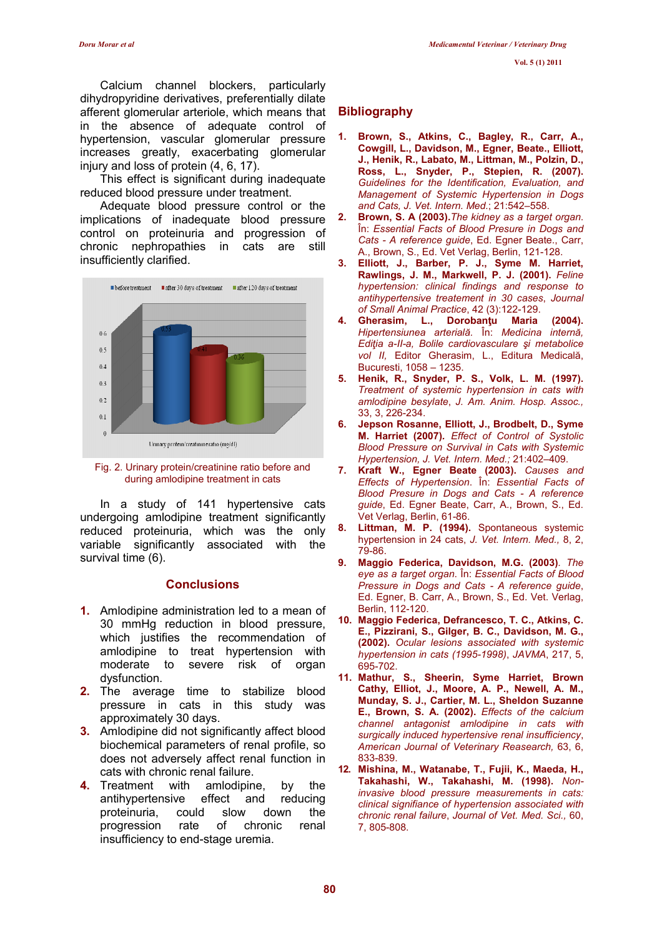Calcium channel blockers, particularly dihydropyridine derivatives, preferentially dilate afferent glomerular arteriole, which means that in the absence of adequate control of hypertension, vascular glomerular pressure increases greatly, exacerbating glomerular injury and loss of protein (4, 6, 17).

This effect is significant during inadequate reduced blood pressure under treatment.

Adequate blood pressure control or the implications of inadequate blood pressure control on proteinuria and progression of chronic nephropathies in cats are still insufficiently clarified.



Fig. 2. Urinary protein/creatinine ratio before and during amlodipine treatment in cats

In a study of 141 hypertensive cats undergoing amlodipine treatment significantly reduced proteinuria, which was the only variable significantly associated with the survival time (6).

## **Conclusions**

- 1. Amlodipine administration led to a mean of 30 mmHg reduction in blood pressure, which justifies the recommendation of amlodipine to treat hypertension with moderate to severe risk of organ dysfunction.
- 2. The average time to stabilize blood pressure in cats in this study was approximately 30 days.
- 3. Amlodipine did not significantly affect blood biochemical parameters of renal profile, so does not adversely affect renal function in cats with chronic renal failure.
- 4. Treatment with amlodipine, by the antihypertensive effect and reducing proteinuria, could slow down the progression rate of chronic renal insufficiency to end-stage uremia.

## **Bibliography**

- Brown, S., Atkins, C., Bagley, R., Carr, A., Cowgill, L., Davidson, M., Egner, Beate., Elliott, J., Henik, R., Labato, M., Littman, M., Polzin, D., Ross, L., Snyder, P., Stepien, R. (2007). Guidelines for the Identification, Evaluation, and Management of Systemic Hypertension in Dogs and Cats, J. Vet. Intern. Med.; 21:542–558.
- 2. Brown, S. A (2003).The kidney as a target organ. În: Essential Facts of Blood Presure in Dogs and Cats - A reference guide, Ed. Egner Beate., Carr, A., Brown, S., Ed. Vet Verlag, Berlin, 121-128.
- 3. Elliott, J., Barber, P. J., Syme M. Harriet, Rawlings, J. M., Markwell, P. J. (2001). Feline hypertension: clinical findings and response to antihypertensive treatement in 30 cases, Journal of Small Animal Practice, 42 (3):122-129.
- 4. Gherasim, L., Dorobanţu Maria (2004). Hipertensiunea arterială. În: Medicina internă, Ediţia a-II-a, Bolile cardiovasculare şi metabolice vol II, Editor Gherasim, L., Editura Medicală, Bucuresti, 1058 – 1235.
- 5. Henik, R., Snyder, P. S., Volk, L. M. (1997). Treatment of systemic hypertension in cats with amlodipine besylate, J. Am. Anim. Hosp. Assoc., 33, 3, 226-234.
- 6. Jepson Rosanne, Elliott, J., Brodbelt, D., Syme M. Harriet (2007). Effect of Control of Systolic Blood Pressure on Survival in Cats with Systemic Hypertension, J. Vet. Intern. Med.; 21:402–409.
- 7. Kraft W., Egner Beate (2003). Causes and Effects of Hypertension. În: Essential Facts of Blood Presure in Dogs and Cats - A reference guide, Ed. Egner Beate, Carr, A., Brown, S., Ed. Vet Verlag, Berlin, 61-86.
- 8. Littman, M. P. (1994). Spontaneous systemic hypertension in 24 cats, J. Vet. Intern. Med., 8, 2, 79-86.
- 9. Maggio Federica, Davidson, M.G. (2003). The eye as a target organ. În: Essential Facts of Blood Pressure in Dogs and Cats - A reference guide, Ed. Egner, B. Carr, A., Brown, S., Ed. Vet. Verlag, Berlin, 112-120.
- 10. Maggio Federica, Defrancesco, T. C., Atkins, C. E., Pizzirani, S., Gilger, B. C., Davidson, M. G., (2002). Ocular lesions associated with systemic hypertension in cats (1995-1998), JAVMA, 217, 5, 695-702.
- 11. Mathur, S., Sheerin, Syme Harriet, Brown Cathy, Elliot, J., Moore, A. P., Newell, A. M., Munday, S. J., Cartier, M. L., Sheldon Suzanne E., Brown, S. A. (2002). Effects of the calcium channel antagonist amlodipine in cats with surgically induced hypertensive renal insufficiency, American Journal of Veterinary Reasearch, 63, 6, 833-839.
- 12. Mishina, M., Watanabe, T., Fujii, K., Maeda, H., Takahashi, W., Takahashi, M. (1998). Noninvasive blood pressure measurements in cats: clinical signifiance of hypertension associated with chronic renal failure, Journal of Vet. Med. Sci., 60, 7, 805-808.